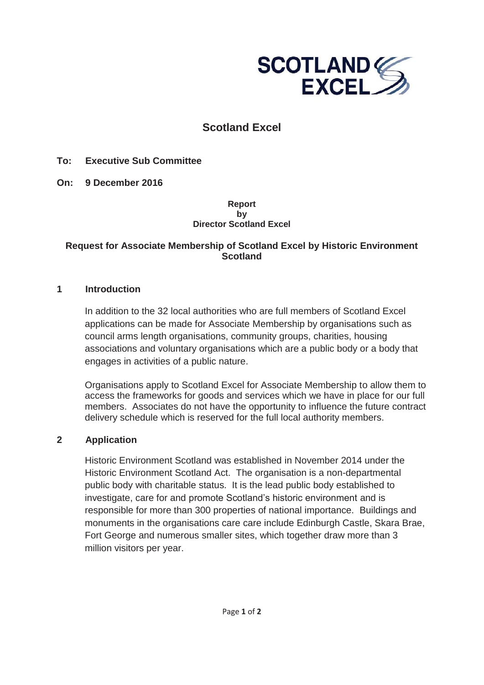

# **Scotland Excel**

**To: Executive Sub Committee**

**On: 9 December 2016** 

#### **Report by Director Scotland Excel**

### **Request for Associate Membership of Scotland Excel by Historic Environment Scotland**

#### **1 Introduction**

In addition to the 32 local authorities who are full members of Scotland Excel applications can be made for Associate Membership by organisations such as council arms length organisations, community groups, charities, housing associations and voluntary organisations which are a public body or a body that engages in activities of a public nature.

Organisations apply to Scotland Excel for Associate Membership to allow them to access the frameworks for goods and services which we have in place for our full members. Associates do not have the opportunity to influence the future contract delivery schedule which is reserved for the full local authority members.

#### **2 Application**

Historic Environment Scotland was established in November 2014 under the Historic Environment Scotland Act. The organisation is a non-departmental public body with charitable status. It is the lead public body established to investigate, care for and promote Scotland's historic environment and is responsible for more than 300 properties of national importance. Buildings and monuments in the organisations care care include Edinburgh Castle, Skara Brae, Fort George and numerous smaller sites, which together draw more than 3 million visitors per year.